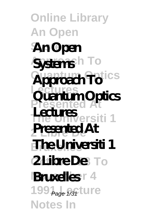### **Online Library An Open Systems An Open** Systems<sup>h</sup> To Approach To<sup>tics</sup> **Lectures Presented At The Universiti 1 2 Libre De Presented At The Universiti 1 2Libre De** To **Bruxelles<sup>r4</sup>** 199<sub>Page 1/31</sub> Lure **Notes In Quantum Optics Lectures**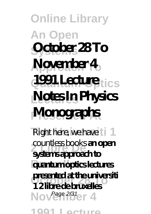# **Online Library An Open Systems October 28 To Approach To November 4 1991 Lecture**<sub>tics</sub> **Lectures Notes In Physics Presented At Monographs**

Right here, we have  $11$ **2 Libre De systems approach to Bruxelles quantum optics lectures October 28 To presented at the universiti** Nov<sup>Page 2/31</sup>er 4 **1991 Lecture** countless books **an open 1 2 libre de bruxelles**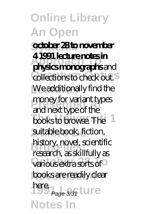**Systems october 28 to november Approach To physics monographs** and **collections to check out.** We additionally find the money for variant types books to browse. The suitable book, fiction, **Bruxelles** research, as skillfully as **Various extra sorts of** books are readily clear here<br>Page 3/31 Lui e **Notes In 4 1991 lecture notes in** and next type of the history, novel, scientific Page 3/31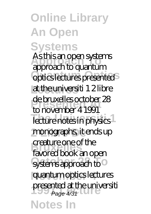#### **Online Library An Open Systems Approach To** approach to quantum **optics lectures presented** at the universiti 1 2 libre de bruxelles october<br>to november 4 1991 lecture notes in physics monographs, it ends up **Bruxelles** favored book an open systems approach to<sup>o</sup> quantum optics lectures presented at the universiti<br>  $P_{\text{age 4/31}}$ **Notes In** As this an open systems de bruxelles october 28 creature one of the Page 4/31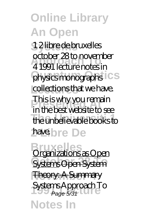**Systems** 1 2 libre de bruxelles **Approach To** 4 1991 lecture notes in physics monographs<sup>ics</sup> collections that we have. **Phis is why you remain**<br>This best whether to m **The Universiti 1** the unbelievable books to have.bre De october 28 to november in the best website to see

**Bruxelles** Systems Open System **Theory: A Summary 1991 Lecture** *Systems Approach To* **Notes In** Organizations as Open Page 5/31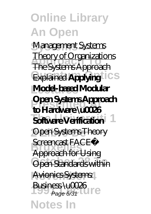**Systems** *Management* Systems **Approach To** The Systems Approach **Explained Applying Model-based Modular Presented At to Hardware \u0026 Software Verification 2 Libre De** Open Systems Theory **Bercencast FACE™ Open Standards within** Avionics Systems **1991 BUSH LESS VUCCEO** Theory of Organizations **Open Systems Approach** Approach for Using Business \u0026

**Notes In**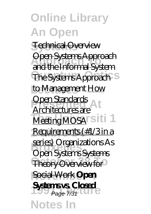**Systems** Technical Overview **Approach To** and the Informal System The Systems Approach<sup>S</sup> to Management How **Open Standards** Meeting MOSA<sup>rsiti 1</sup> **Requirements (#1/3 in a Bruxelles** Open Systems Systems Theory Overview for **Social Work Open Systems vs. Closed**<br> **Page 7/31 Notes In** Open Systems Approach Architectures are series) Organizations As Page 7/31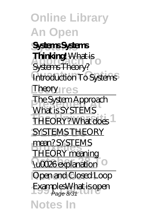**Online Library An Open Systems Systems Systems Approximate Theory?**  $Introduction$ *To Systems <u>Iheory</u>* res **President Approach**<br>Talentic System As **THEORY? What does 2 SYSTEMS THEORY mean? SYSTEMS Luccommunity Open and Closed Loop** Examples<del>What is open</del><br>Page 8/31 **Notes In Thinking!** What is What is SYSTEMS THEORY meaning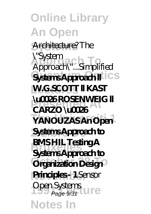**Online Library An Open Systems** Architecture? *The* **Approach To** *Approach\"...Simplified* Systems Approach ll<sup>lics</sup> **W.G.SCOTT II KAST CARZO \u0026 The Universiti 1 YANOUZAS An Open**  $S$ *ystems Approachto* **BMS HIL Testing A**  $\overrightarrow{O}$  regnization Design<sup>o</sup> **Principles - 1** Sensor Open Systems<br>Page 9/31 **Notes In** *\"System* **\u0026 ROSENWEIG ll Systems Approach to** Page 9/31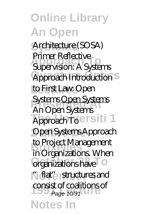**Systems** Architecture (SOSA) **Approach To** *Supervision: A Systems*  $Approach Introduction<sup>S</sup>$ **Lectures** *to First Law: Open* **Presented At** *Systems* Open Systems **The Universiti 1** *Approach To* **2 Libre De** Open Systems Approach to Project Management<br>in Organizations Whor **Organizations have November 4** in the structures and consist of coalitions of<br>Page 10/31 **Notes In** Primer *Reflective An Open Systems* in Organizations. When Page 10/31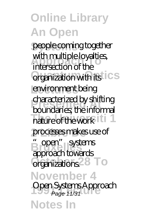people coming together **Approach To** intersection of the **Organization with its ICS Lectures** environment being **Presented At** boundaries; the informal nature of the work it i 1 processes makes use of **Bruxelles** "open" systems **Organizations<sup>28</sup> To November 4 1991 Lecture** *Open Systems Approach* with multiple loyalties, characterized by shifting approach towards Page 11/31

**Notes In**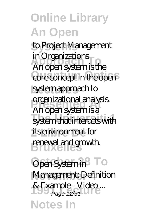**Systems** *to Project Management In Organizations*<br>An open system is the core concept in the open<sup>5</sup> system approach to **Presented At** An open system is a system that interacts with its environment for renewal and growth. *in Organizations* organizational analysis.

 $Open System in$  To *Management: Definition* **1991 Lecture** *& Example - Video ...* **Notes In** Page 12/31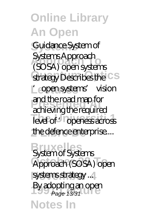**Systems** Guidance System of **Approach To** (SOSA) open systems **Strategy Describes the CS** Lecture open systems' vision **Present and the road map for** level of '<sup>o</sup> openess across the defence enterprise... Systems Approach achieving the required

**Bruxelles** *System of Systems*  $\overline{A}$ pproach (SOSA) open  $s$ *ystems strategy* ... By adopting an open<br>Page 13/31 **Notes In** Page 13/31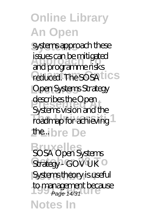**Systems** systems approach these **Approach To** and programme risks reduced. The SOSA<sup>tics</sup> issues can be mitigated

Open Systems Strategy **Presented At** Systems vision and the roadmap for achieving the...ibre De describes the Open

**Bruxelles** *SOSA Open Systems* Strategy - GOV UK<sup>O</sup> Systems theory is useful to management because<br>Page 14/31 **Notes In** Page 14/31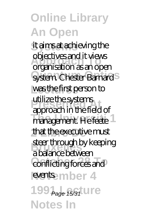**Systems** it aims at achieving the **Approach To** organisation as an open system. Chester Barnard<sup>S</sup> was the first person to **Presented At** approach in the field of **The University** 1 that the executive must **steer through by keeping** conflicting forces and events. mber 4 199<sup>Page 15/31</sup> **LITE Notes In** objectives and it views utilize the systems a balance between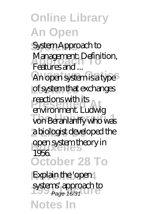**Systems** *System Approach to Management: Definition,<br>Footures and* An open system is a type<sup>5</sup> of system that exchanges *Features and ...*

reacuons wirn its<br>environment. Ludwig von Beranlanffy who was a biologist developed the **bruce**<br> **bruce**<br> **bruce**<br> **bruce**<br> **bruce**<br> **bruce**<br> **bruce**<br> **bruce**<br> **bruce**<br> **bruce**<br> **bruce**<br> **bruce**<br> **bruce**<br> **b October 28 To** reactions with its 1956.

*Explain the 'open systems' approach to*<br>Page 16/31 **Notes In** Page 16/31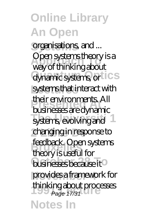**Systems** *organisations, and ...* **Approach To** way of thinking about dynamic systems, or **ICS** systems that interact with **Presented At** businesses are dynamic systems, evolving and changing in response to **Bruselles**<br>**Bruseful** for **businesses because it** provides a framework for thinking about processes<br>Page 17/31 **Notes In** Open systems theory is a their environments. All feedback. Open systems Page 17/31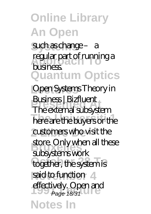**Systems** such as change – a *regular part of running a* **Quantum Optics** business.

*Open Systems Theory in* **Presented At** *Business | Bizfluent* here are the buyers or the customers who visit the **Bruxelles** subsystems work together, the system is said to function 4 effectively. Open and<br>Page 18/31 **Notes In** The external subsystem store. Only when all these Page 18/31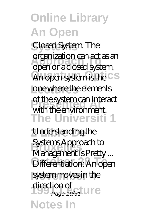**Systems** Closed System. The **Approach To** open or a closed system. An open system is the CS **Lectures** one where the elements **Presented At** with the environment. **The Universiti 1** organization can act as an of the system can interact

**2 Libre De** *Understanding the Systems Approach to*<br>*Management is Prott* **Differentiation: An open** system moves in the direction of<br> **Page 19/31** LIFE **Notes In** *Management is Pretty ...* Page 19/31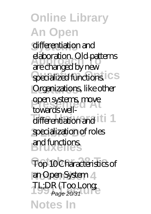differentiation and **Approach To** are changed by new **specialized functions.** CS Organizations, like other **ppen systems, move** differentiation and **iti** 1 **2 Libre De** specialization of roles **Bruxelles** and functions. elaboration. Old patterns towards well-

 $Top$  10 Characteristics of **November 4** *an Open System* TL;DR (Too Long)<br>Page 20/31 **Notes In** Page 20/31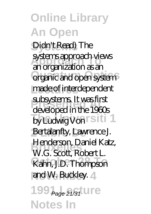Didn't Read) The **Approach To** an organization as an **Organic and open system** made of interdependent **Presented At** developed in the 1960s by Ludwig Von **Siti 1** Bertalanfty, Lawrence J. **Henderson, Daniel Katz,<br>W.C. Scott, Bobert L. October 28 To** Kahn, J.D. Thompson and W. Buckley. 4 systems approach views subsystems. It was first W.G. Scott, Robert L.

199<sup>Page 21/31</sup> <u>UTe</u> **Notes In**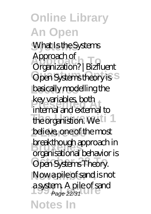**Online Library An Open Systems** *What Is the Systems* **Approach To** *Organization? | Bizfluent* Open Systems theory is S basically modelling the **Rey vanables, Dour**<br>**internal and external to** the organistion. We **1** believe, one of the most **breakthough approach in** Open Systems Theory. Now a pile of sand is not a **system.** A pile of sand<br>Page 22/31 **Notes In** *Approach of* key variables, both organisational behavior is Page 22/31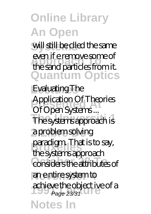will still be clled the same **Approach To** the sand particles from it. **Quantum Optics** even if e remove some of

**Lectures** *Evaluating The* **Presented At** *Application Of Theories* The systems approach is a problem solving paradigm. That is to s<br>the systems approach **Considers the attributes of November 4** an e ntire system to achieve the object ive of a<br>Page 23/31 **Notes In** *Of Open Systems ...* paradigm. That is to say, Page 23/31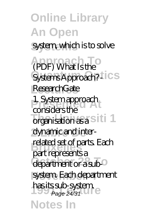**Online Library An Open system, which is to solve Approach To** *(PDF) What Is the*  $\overrightarrow{SystemsApproach?}$  **CS Lectures** *ResearchGate* 1. System approach<br>
consider the organisation as a Siti 1 dynamic and interrelated set of parts. Each department or a sub-<sup>0</sup> system. Each department has its sub-system.<br>Page 24/31 **Notes In** considers the part represents a Page 24/31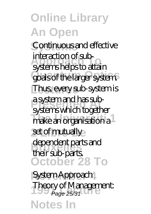**Systems** Continuous and effective **Approach To** systems helps to attain goals of the larger system.<sup>3</sup> Thus, every sub-system is **Presented At** systems which together make an organisation a set of mutually dependent parts and<br>their sub perts **October 28 To** interaction of suba system and has subtheir sub-parts.

**November 4** *System Approach* **1991 Lecture** *Theory of Management:* **Notes In** Page 25/31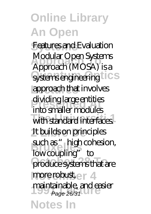**Systems** *Features and Evaluation* **Approach To** Approach (MOSA) is a systems engineering **LICS** approach that involves dividing large entities<br>inte smaller medules with standard interfaces. It builds on principles **such as "** high cohesion, produce systems that are more robust, e r 4 maintainable, and easier<br>Page 26/31 **Notes In** Modular Open Systems into smaller modules low coupling" to Page 26/31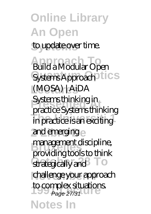### **Online Library An Open** to update over time. **Approach To** *Build a Modular Open* Systems Approach<sup>1</sup>ics **Lectures** *(MOSA) | AiDA* **Present Systems thinking in** in practice is an exciting and emerging management discipline, strategically and<sup>3</sup> To challenge your approach to complex situations.<br>Page 27/31 **Notes In** practice Systems thinking providing tools to think Page 27/31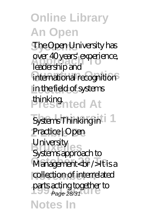**Systems** The Open University has over au*years* expendence<br>leadership and international recognition in the field of systems **Presented At** thinking. over 40 years' experience,

*Systems Thinking in* **2 Libre De** *Practice | Open* **Bruxelles** Systems approach to **Management<br />It is a** collection of interrelated parts acting together to<br>Page 28/31 **Notes In** *University* Page 28/31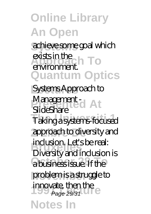achieve some goal which exists in the<br>eximple of **To Quantum Optics** environment.

**Lectures** *Systems Approach to Management -*<br>SideShem *SlideShare*

**The Universiti 1** Taking a systems-focused approach to diversity and **Bruxelles** Diversity and inclusion is a business issue. If the problem is a struggle to innovate, then the<br>Page 29/31 **Notes In** inclusion. Let's be real: Page 29/31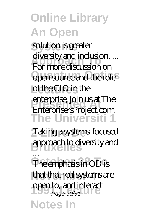solution is greater **Approach To** For more discussion on open source and the role<sup>5</sup> **Lectures** of the CIO in the **Presented At** EnterprisersProject.com. **The Universiti 1** diversity and inclusion. ... enterprise, join us at The

**2 Libre De** *Taking a systems-focused* **Bruxelles** *approach to diversity and ...*

The emphasis in OD is that that real systems are **1990 open to, and interact**<br>Page 30/31 **Notes In** The emphasis in OD is Page 30/31